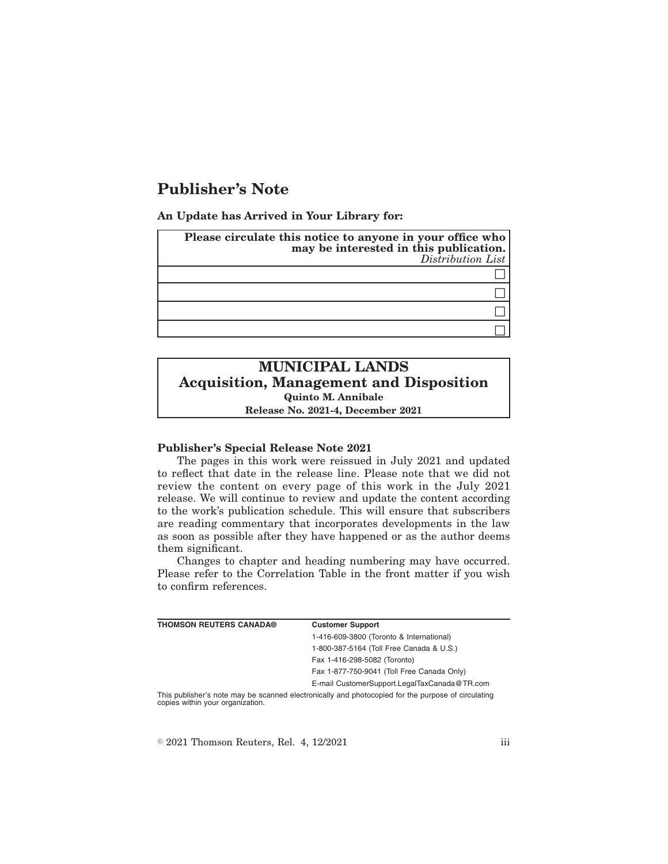# **Publisher's Note**

**An Update has Arrived in Your Library for:**

| Please circulate this notice to anyone in your office who<br>may be interested in this publication.<br>Distribution List |  |
|--------------------------------------------------------------------------------------------------------------------------|--|
|                                                                                                                          |  |
|                                                                                                                          |  |
|                                                                                                                          |  |
|                                                                                                                          |  |

## **MUNICIPAL LANDS Acquisition, Management and Disposition Quinto M. Annibale Release No. 2021-4, December 2021**

#### **Publisher's Special Release Note 2021**

The pages in this work were reissued in July 2021 and updated to reflect that date in the release line. Please note that we did not review the content on every page of this work in the July 2021 release. We will continue to review and update the content according to the work's publication schedule. This will ensure that subscribers are reading commentary that incorporates developments in the law as soon as possible after they have happened or as the author deems them significant.

Changes to chapter and heading numbering may have occurred. Please refer to the Correlation Table in the front matter if you wish to confirm references.

| <b>THOMSON REUTERS CANADA®</b> | <b>Customer Support</b>                      |
|--------------------------------|----------------------------------------------|
|                                | 1-416-609-3800 (Toronto & International)     |
|                                | 1-800-387-5164 (Toll Free Canada & U.S.)     |
|                                | Fax 1-416-298-5082 (Toronto)                 |
|                                | Fax 1-877-750-9041 (Toll Free Canada Only)   |
|                                | E-mail CustomerSupport.LegalTaxCanada@TR.com |
|                                |                                              |

This publisher's note may be scanned electronically and photocopied for the purpose of circulating copies within your organization.

 $\textdegree$  2021 Thomson Reuters, Rel. 4, 12/2021 iii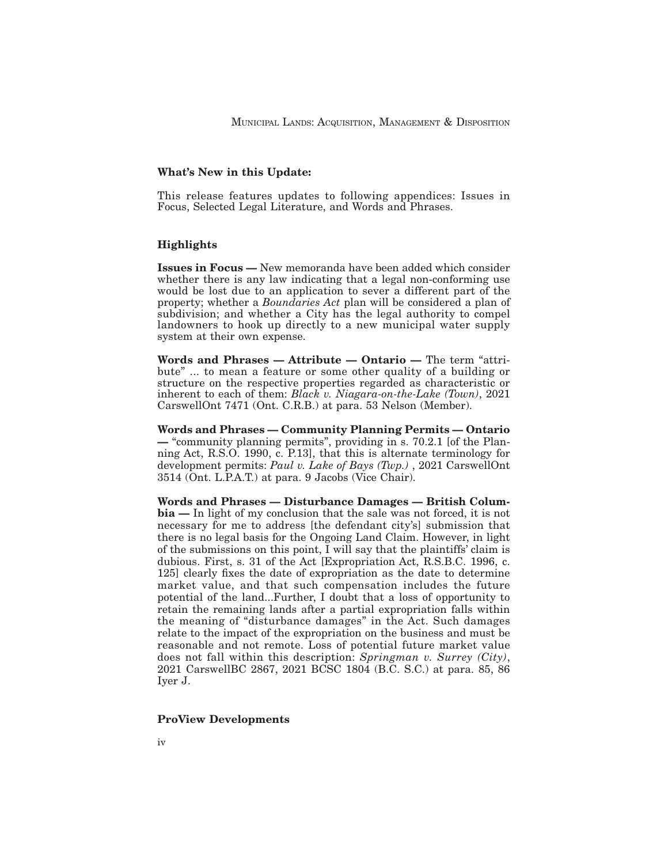## **What's New in this Update:**

This release features updates to following appendices: Issues in Focus, Selected Legal Literature, and Words and Phrases.

### **Highlights**

**Issues in Focus —** New memoranda have been added which consider whether there is any law indicating that a legal non-conforming use would be lost due to an application to sever a different part of the property; whether a *Boundaries Act* plan will be considered a plan of subdivision; and whether a City has the legal authority to compel landowners to hook up directly to a new municipal water supply system at their own expense.

**Words and Phrases — Attribute — Ontario —** The term "attribute" ... to mean a feature or some other quality of a building or structure on the respective properties regarded as characteristic or inherent to each of them: *Black v. Niagara-on-the-Lake (Town)*, 2021 CarswellOnt 7471 (Ont. C.R.B.) at para. 53 Nelson (Member).

**Words and Phrases — Community Planning Permits — Ontario —** "community planning permits", providing in s. 70.2.1 [of the Planning Act, R.S.O. 1990, c. P.13], that this is alternate terminology for development permits: *Paul v. Lake of Bays (Twp.)* , 2021 CarswellOnt 3514 (Ont. L.P.A.T.) at para. 9 Jacobs (Vice Chair).

**Words and Phrases — Disturbance Damages — British Columbia —** In light of my conclusion that the sale was not forced, it is not necessary for me to address [the defendant city's] submission that there is no legal basis for the Ongoing Land Claim. However, in light of the submissions on this point, I will say that the plaintiffs' claim is dubious. First, s. 31 of the Act [Expropriation Act, R.S.B.C. 1996, c. 125] clearly fixes the date of expropriation as the date to determine market value, and that such compensation includes the future potential of the land...Further, I doubt that a loss of opportunity to retain the remaining lands after a partial expropriation falls within the meaning of "disturbance damages" in the Act. Such damages relate to the impact of the expropriation on the business and must be reasonable and not remote. Loss of potential future market value does not fall within this description: *Springman v. Surrey (City)*, 2021 CarswellBC 2867, 2021 BCSC 1804 (B.C. S.C.) at para. 85, 86 Iyer J.

#### **ProView Developments**